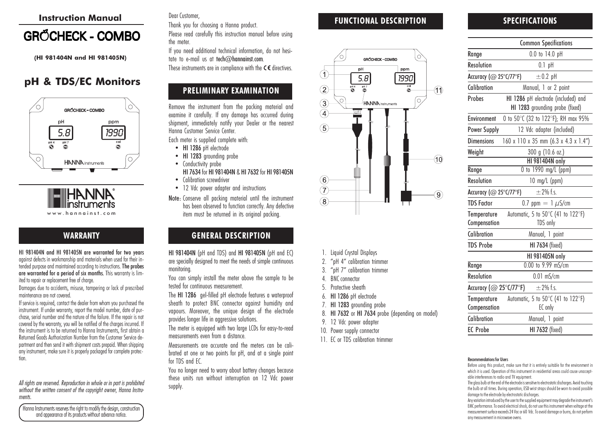#### Instruction Manual

# **GRŐCHECK - COMBO**

(HI 981404N and HI 981405N)

# pH & TDS/EC Monitors



www.hannainst.com

# WARRANTY

HI 981404N and HI 981405N are warranted for two years against defects in workmanship and materials when used for their intended purpose and maintained according to instructions. The probes are warranted for a period of six months. This warranty is limited to repair or replacement free of charge.

Damages due to accidents, misuse, tampering or lack of prescribed maintenance are not covered.

If service is required, contact the dealer from whom you purchased the instrument. If under warranty, report the model number, date of purchase, serial number and the nature of the failure. If the repair is not covered by the warranty, you will be notified of the charges incurred. If the instrument is to be returned to Hanna Instruments, first obtain a Returned Goods Authorization Number from the Customer Service department and then send it with shipment costs prepaid. When shipping any instrument, make sure it is properly packaged for complete protection.

All rights are reserved. Reproduction in whole or in part is prohibited without the written consent of the copyright owner, Hanna Instruments.

Hanna Instruments reserves the right to modify the design, construction and appearance of its products without advance notice.

#### Dear Customer,

Thank you for choosing a Hanna product. Please read carefully this instruction manual before using the meter.

If you need additional technical information, do not hesitate to e-mail us at tech $@$ hannainst.com. These instruments are in compliance with the  $C \in$  directives.

# PRELIMINARY EXAMINATION

Remove the instrument from the packing material and examine it carefully. If any damage has occurred during shipment, immediately notify your Dealer or the nearest Hanna Customer Service Center.

Each meter is supplied complete with:

- HI 1286 pH electrode
- HI 1283 grounding probe
- Conductivity probe

HI 7634 for HI 981404N & HI 7632 for HI 981405N • Calibration screwdriver

- 12 Vdc power adapter and instructions
- Note: Conserve all packing material until the instrument has been observed to function correctly. Any defective item must be returned in its original packing.

### GENERAL DESCRIPTION

HI 981404N (pH and TDS) and HI 981405N (pH and EC) are specially designed to meet the needs of simple continuous monitoring.

You can simply install the meter above the sample to be tested for continuous measurement.

The HI 1286 gel-filled pH electrode features a waterproof sheath to protect BNC connector against humidity and vapours. Moreover, the unique design of the electrode provides longer life in aggressive solutions.

The meter is equipped with two large LCDs for easy-to-read measurements even from a distance.

Measurements are accurate and the meters can be calibrated at one or two points for pH, and at a single point for TDS and EC.

You no longer need to worry about battery changes because these units run without interruption on 12 Vdc power supply.

# FUNCTIONAL DESCRIPTION



- 1. Liquid Crystal Displays
- 2. "pH 4" calibration trimmer
- 3. "pH 7" calibration trimmer
- 4. BNC connector
- 5. Protective sheath
- 6. HI 1286 pH electrode
- 7. HI 1283 grounding probe
- 8. HI 7632 or HI 7634 probe (depending on model)
- 9. 12 Vdc power adapter
- 10. Power supply connector
- 11. EC or TDS calibration trimmer

#### SPECIFICATIONS

|                             | <b>Common Specifications</b>                                           |
|-----------------------------|------------------------------------------------------------------------|
| Range                       | 0.0 to 14.0 pH                                                         |
| <b>Resolution</b>           | $0.1$ pH                                                               |
| Accuracy (@ 25°C/77°F)      | $\pm 0.2$ pH                                                           |
| Calibration                 | Manual, 1 or 2 point                                                   |
| Probes                      | HI 1286 pH electrode (included) and<br>HI 1283 grounding probe (fixed) |
| <b>Environment</b>          | 0 to 50°C (32 to 122°F); RH max 95%                                    |
| <b>Power Supply</b>         | 12 Vdc adapter (included)                                              |
| <b>Dimensions</b>           | 160 x 110 x 35 mm (6.3 x 4.3 x 1.4")                                   |
| Weight                      | 300 g (10.6 oz.)                                                       |
|                             | <b>HI 981404N only</b>                                                 |
| Range                       | 0 to 1990 mg/L (ppm)                                                   |
| <b>Resolution</b>           | $10 \text{ mg/L (ppm)}$                                                |
| Accuracy (@ 25°C/77°F)      | $\pm$ 2% f.s.                                                          |
| <b>TDS Factor</b>           | 0.7 ppm $= 1 \mu$ S/cm                                                 |
| Temperature<br>Compensation | Automatic, 5 to 50°C (41 to 122°F)<br>TDS only                         |
| Calibration                 | Manual, 1 point                                                        |
| <b>TDS Probe</b>            | <b>HI 7634 (fixed)</b>                                                 |
|                             | HI 981405N only                                                        |
| Range                       | 0.00 to 9.99 mS/cm                                                     |
| <b>Resolution</b>           | $0.01$ mS/cm                                                           |
| Accuracy (@ 25°C/77°F)      | $\pm$ 2% f.s.                                                          |
| Temperature<br>Compensation | Automatic, 5 to 50°C (41 to 122°F)<br>EC only                          |
| Calibration                 | Manual, 1 point                                                        |
| <b>EC</b> Probe             | HI 7632 (fixed)                                                        |

#### Recommendations for Users

Before using this product, make sure that it is entirely suitable for the environment in which it is used. Operation of this instrument in residential areas could cause unacceptable interferences to radio and TV equipment.

The glass bulb at the end of the electrode is sensitive to electrostatic discharges. Avoid touching the bulb at all times. During operation, ESD wrist straps should be worn to avoid possible damage to the electrode by electrostatic discharges.

Any variation introduced by the user to the supplied equipment may degrade the instrument's EMC performance. To avoid electrical shock, do not use this instrument when voltage at the measurement surface exceeds 24 Vac or 60 Vdc. To avoid damage or burns, do not perform any measurement in microwave ovens.